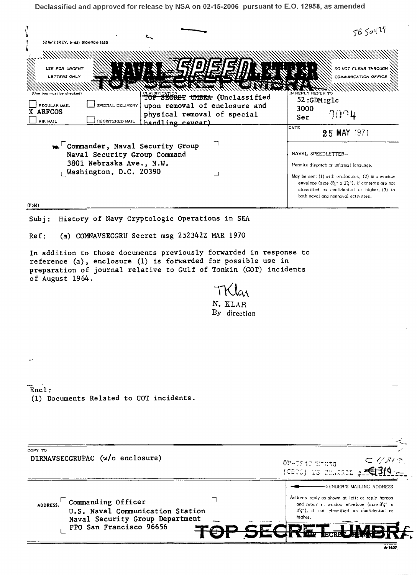| Declassified and approved for release by NSA on 02-15-2006 pursuant to E.O. 12958, as amended                                                                                                                                                                                                                                                 |                                  |                                                                                                                                                                                                                  |
|-----------------------------------------------------------------------------------------------------------------------------------------------------------------------------------------------------------------------------------------------------------------------------------------------------------------------------------------------|----------------------------------|------------------------------------------------------------------------------------------------------------------------------------------------------------------------------------------------------------------|
| τ.<br>5216/2 (REV. 6-65) 0104-904-1650                                                                                                                                                                                                                                                                                                        |                                  | 5650479                                                                                                                                                                                                          |
|                                                                                                                                                                                                                                                                                                                                               |                                  |                                                                                                                                                                                                                  |
| USE FOR URGENT<br>LETTERS ONLY                                                                                                                                                                                                                                                                                                                |                                  | DO NOT CLEAR THROUGH<br>COMMUNICATION OFFICE                                                                                                                                                                     |
| box must be checked)                                                                                                                                                                                                                                                                                                                          | TOP SECRET UMBRA (Unclassified   | ER TO<br>52:GDM:glc                                                                                                                                                                                              |
| REGULAR MAIL<br>SPECIAL DELIVERY<br>X ARFCOS                                                                                                                                                                                                                                                                                                  | upon removal of enclosure and    | 3000                                                                                                                                                                                                             |
| AIR MAIL<br>REGISTERED MAIL                                                                                                                                                                                                                                                                                                                   | physical removal of special      | $\partial \theta$ ገዛ<br>Ser                                                                                                                                                                                      |
|                                                                                                                                                                                                                                                                                                                                               | handling caveat)                 | DATE<br>25 MAY 1971                                                                                                                                                                                              |
| <b>10.</b> Commander, Naval Security Group<br>Naval Security Group Command                                                                                                                                                                                                                                                                    | ┐                                | NAVAL SPEEDLETTER-                                                                                                                                                                                               |
| 3801 Nebraska Ave., N.W.                                                                                                                                                                                                                                                                                                                      |                                  | Permits dispatch or informal language.                                                                                                                                                                           |
| Washington, D.C. 20390                                                                                                                                                                                                                                                                                                                        |                                  | May be sent (1) with enclosures, (2) in a window<br>envelope (size $8\frac{7}{4}$ x $3\frac{7}{4}$ ), if contents are not<br>classified as confidential or higher, (3) to<br>both naval and nonnaval activities. |
| (Fold)                                                                                                                                                                                                                                                                                                                                        |                                  |                                                                                                                                                                                                                  |
| History of Navy Cryptologic Operations in SEA<br>Subj:<br>(a) COMNAVSECGRU Secret msg 252342Z MAR 1970<br>Ref:<br>In addition to those documents previously forwarded in response to<br>reference (a), enclosure (1) is forwarded for possible use in<br>preparation of journal relative to Gulf of Tonkin (GOT) incidents<br>of August 1964. | TKlar<br>N. KLAR<br>By direction |                                                                                                                                                                                                                  |
| $\overline{Enc1}$ :<br>(1) Documents Related to GOT incidents.                                                                                                                                                                                                                                                                                |                                  |                                                                                                                                                                                                                  |
| COPY TO<br>DIRNAVSECGRUPAC (w/o enclosure)                                                                                                                                                                                                                                                                                                    |                                  | $\sub \sqrt{3}/\sqrt{2}$<br>OP-0949 (tintisg                                                                                                                                                                     |

 $AODRES:$  Commanding Officer  $\lnot$ U.S. Naval Communication Station Naval Security Group Department<br>FPO San Francisco 96656 FPO San Francisco 96656

-SENDER'S MAILING ADDRESS Address reply as shown at left; or reply hereon and return in window envelope (size  $8\frac{11}{4}$  x 3%"), if not classified as confidential or higher. 2

Я.

ŠЕ

.-,,, -"""I""• ...... ·~ .·1 .... ~ \ ...... .L.i

 $#$  $\leq$  3/4

 $A 1437$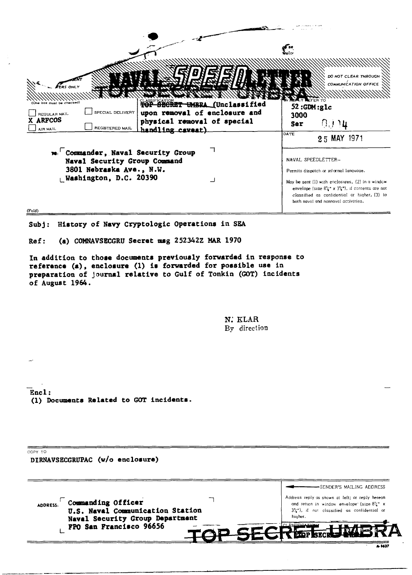| <b>RS ONLY</b><br>CLASSIFICATION TO UMBRA (Unclassified<br>box must be checked)<br>SPECIAL DELIVERY<br>upon removal of enclosure and<br>REGULAR MAIL<br>X ARFCOS<br>physical removal of special<br>REGISTERED MAIL | ielo.<br>DO NOT CLEAR THROUGH<br><b>COMMUNICATION OFFICE</b><br>NASALY LEFER TO<br>52:GDM:glc<br>3000<br>自言り毎<br>Ser                                                                                                                                                                                     |  |
|--------------------------------------------------------------------------------------------------------------------------------------------------------------------------------------------------------------------|----------------------------------------------------------------------------------------------------------------------------------------------------------------------------------------------------------------------------------------------------------------------------------------------------------|--|
| handling caveat)<br><b>AIR MAIL</b><br>m. Commander, Naval Security Group<br>Naval Security Group Command<br>3801 Nebraska Ave., N.W.<br>Washington, D.C. 20390                                                    | DATE<br>25 MAY 1971<br>NAVAL SPEEDLETTER-<br>Permits dispatch or informal language.<br>May be sent (1) with enclosures, (2) in a window<br>envelope (size $8\frac{7}{4}$ x $3\frac{7}{4}$ "), if contents are not<br>classified as confidential or higher, (3) to<br>both naval and nonnaval activities. |  |
| (Fold)                                                                                                                                                                                                             |                                                                                                                                                                                                                                                                                                          |  |

Subj: History of Navy Cryptologic Operations in SEA

Ref: (a) COMNAVSECGRU Secret msg 252342Z MAR 1970

In addition to those documents previously forwarded in response to reference (a), enclosure (1) ia forwarded for possible use in preparation of journal relative to Gulf of Tonkin (GOT) incidents of August 1964.

> N; KLAR By direction

Encl: (1) Documents Related to GOT incidents.

CCPY TO

DIRNAVSECGRUPAC (w/o enclosure) -SENDER'S MAILING ADDRESS Address reply as shown at left; or reply hereon ADDRESS: Commanding Officer  $\overline{\phantom{a}}$ and return in window envelope<sup>·</sup> (size 81/4<sup>1</sup> X U.S. Naval Communication Station 31 / <sup>1</sup> "), if no! classified as contidentlal or hiqher. Naval Security Group Department FPO San Francisco 96656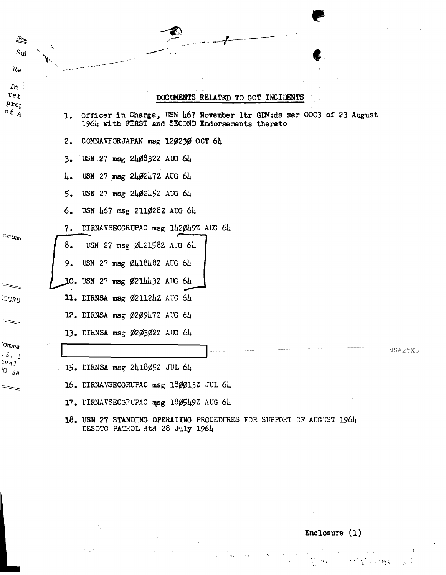

Enclosure (1)